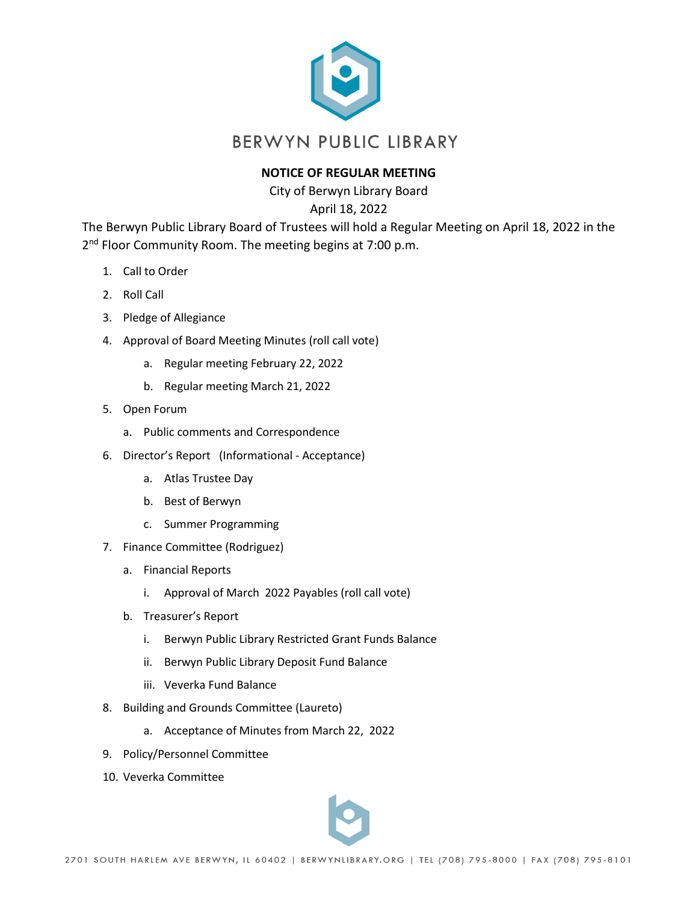

## **NOTICE OF REGULAR MEETING**

City of Berwyn Library Board

April 18, 2022

The Berwyn Public Library Board of Trustees will hold a Regular Meeting on April 18, 2022 in the 2<sup>nd</sup> Floor Community Room. The meeting begins at 7:00 p.m.

- 1. Call to Order
- 2. Roll Call
- 3. Pledge of Allegiance
- 4. Approval of Board Meeting Minutes (roll call vote)
	- a. Regular meeting February 22, 2022
	- b. Regular meeting March 21, 2022
- 5. Open Forum
	- a. Public comments and Correspondence
- 6. Director's Report (Informational Acceptance)
	- a. Atlas Trustee Day
	- b. Best of Berwyn
	- c. Summer Programming
- 7. Finance Committee (Rodriguez)
	- a. Financial Reports
		- i. Approval of March 2022 Payables (roll call vote)
	- b. Treasurer's Report
		- i. Berwyn Public Library Restricted Grant Funds Balance
		- ii. Berwyn Public Library Deposit Fund Balance
		- iii. Veverka Fund Balance
- 8. Building and Grounds Committee (Laureto)
	- a. Acceptance of Minutes from March 22, 2022
- 9. Policy/Personnel Committee
- 10. Veverka Committee